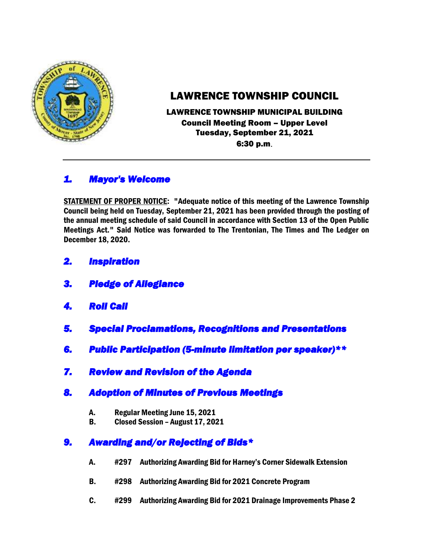

# LAWRENCE TOWNSHIP COUNCIL

LAWRENCE TOWNSHIP MUNICIPAL BUILDING Council Meeting Room – Upper Level Tuesday, September 21, 2021 6:30 p.m.

## *1. Mayor's Welcome*

STATEMENT OF PROPER NOTICE: "Adequate notice of this meeting of the Lawrence Township Council being held on Tuesday, September 21, 2021 has been provided through the posting of the annual meeting schedule of said Council in accordance with Section 13 of the Open Public Meetings Act." Said Notice was forwarded to The Trentonian, The Times and The Ledger on December 18, 2020.

- *2. Inspiration*
- *3. Pledge of Allegiance*
- *4. Roll Call*
- *5. Special Proclamations, Recognitions and Presentations*
- *6. Public Participation (5-minute limitation per speaker)\*\**
- *7. Review and Revision of the Agenda*

## *8. Adoption of Minutes of Previous Meetings*

- A. Regular Meeting June 15, 2021
- B. Closed Session August 17, 2021

## *9. Awarding and/or Rejecting of Bids\**

- A. #297 Authorizing Awarding Bid for Harney's Corner Sidewalk Extension
- B. #298 Authorizing Awarding Bid for 2021 Concrete Program
- C. #299 Authorizing Awarding Bid for 2021 Drainage Improvements Phase 2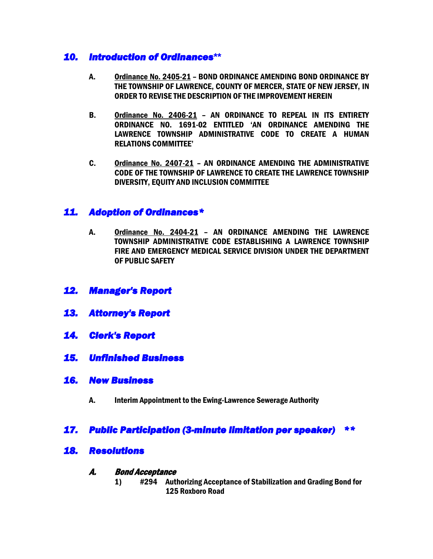## *10. Introduction of Ordinances***\*\***

- A. Ordinance No. 2405-21 BOND ORDINANCE AMENDING BOND ORDINANCE BY THE TOWNSHIP OF LAWRENCE, COUNTY OF MERCER, STATE OF NEW JERSEY, IN ORDER TO REVISE THE DESCRIPTION OF THE IMPROVEMENT HEREIN
- B. Ordinance No. 2406-21 AN ORDINANCE TO REPEAL IN ITS ENTIRETY ORDINANCE NO. 1691-02 ENTITLED 'AN ORDINANCE AMENDING THE LAWRENCE TOWNSHIP ADMINISTRATIVE CODE TO CREATE A HUMAN RELATIONS COMMITTEE'
- C. Ordinance No. 2407-21 AN ORDINANCE AMENDING THE ADMINISTRATIVE CODE OF THE TOWNSHIP OF LAWRENCE TO CREATE THE LAWRENCE TOWNSHIP DIVERSITY, EQUITY AND INCLUSION COMMITTEE

## *11. Adoption of Ordinances\**

A. Ordinance No. 2404-21 – AN ORDINANCE AMENDING THE LAWRENCE TOWNSHIP ADMINISTRATIVE CODE ESTABLISHING A LAWRENCE TOWNSHIP FIRE AND EMERGENCY MEDICAL SERVICE DIVISION UNDER THE DEPARTMENT OF PUBLIC SAFETY

## *12. Manager's Report*

- *13. Attorney's Report*
- *14. Clerk's Report*

## *15. Unfinished Business*

#### *16. New Business*

A. Interim Appointment to the Ewing-Lawrence Sewerage Authority

## *17. Public Participation (3-minute limitation per speaker) \*\**

## *18. Resolutions*

#### A. Bond Acceptance

1) #294 Authorizing Acceptance of Stabilization and Grading Bond for 125 Roxboro Road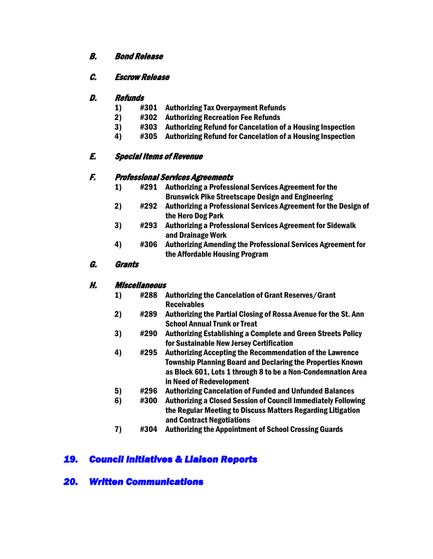#### B. Bond Release

#### C. Escrow Release

#### D. Refunds

- 1) #301 Authorizing Tax Overpayment Refunds
- 2) #302 Authorizing Recreation Fee Refunds
- 3) #303 Authorizing Refund for Cancelation of a Housing Inspection
- 4) #305 Authorizing Refund for Cancelation of a Housing Inspection

## E. Special Items of Revenue

#### F. Professional Services Agreements

- 1) #291 Authorizing a Professional Services Agreement for the Brunswick Pike Streetscape Design and Engineering
- 2) #292 Authorizing a Professional Services Agreement for the Design of the Hero Dog Park
- 3) #293 Authorizing a Professional Services Agreement for Sidewalk and Drainage Work
- 4) #306 Authorizing Amending the Professional Services Agreement for the Affordable Housing Program

## G. Grants

## H. Miscellaneous

- 1) #288 Authorizing the Cancelation of Grant Reserves/Grant Receivables
- 2) #289 Authorizing the Partial Closing of Rossa Avenue for the St. Ann School Annual Trunk or Treat
- 3) #290 Authorizing Establishing a Complete and Green Streets Policy for Sustainable New Jersey Certification
- 4) #295 Authorizing Accepting the Recommendation of the Lawrence Township Planning Board and Declaring the Properties Known as Block 601, Lots 1 through 8 to be a Non-Condemnation Area in Need of Redevelopment
- 5) #296 Authorizing Cancelation of Funded and Unfunded Balances
- 6) #300 Authorizing a Closed Session of Council Immediately Following the Regular Meeting to Discuss Matters Regarding Litigation and Contract Negotiations
- 7) #304 Authorizing the Appointment of School Crossing Guards

## *19. Council Initiatives & Liaison Reports*

## *20. Written Communications*